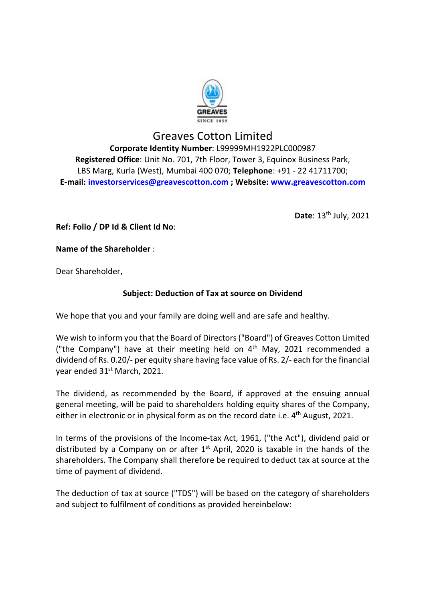

# Greaves Cotton Limited Corporate Identity Number: L99999MH1922PLC000987 Registered Office: Unit No. 701, 7th Floor, Tower 3, Equinox Business Park, LBS Marg, Kurla (West), Mumbai 400 070; Telephone: +91 - 22 41711700; E-mail: investorservices@greavescotton.com ; Website: www.greavescotton.com

Date: 13<sup>th</sup> July, 2021

Ref: Folio / DP Id & Client Id No:

Name of the Shareholder :

Dear Shareholder,

# Subject: Deduction of Tax at source on Dividend

We hope that you and your family are doing well and are safe and healthy.

We wish to inform you that the Board of Directors ("Board") of Greaves Cotton Limited ("the Company") have at their meeting held on  $4<sup>th</sup>$  May, 2021 recommended a dividend of Rs. 0.20/- per equity share having face value of Rs. 2/- each for the financial year ended 31<sup>st</sup> March, 2021.

The dividend, as recommended by the Board, if approved at the ensuing annual general meeting, will be paid to shareholders holding equity shares of the Company, either in electronic or in physical form as on the record date i.e. 4<sup>th</sup> August, 2021.

In terms of the provisions of the Income-tax Act, 1961, ("the Act"), dividend paid or distributed by a Company on or after  $1<sup>st</sup>$  April, 2020 is taxable in the hands of the shareholders. The Company shall therefore be required to deduct tax at source at the time of payment of dividend.

The deduction of tax at source ("TDS") will be based on the category of shareholders and subject to fulfilment of conditions as provided hereinbelow: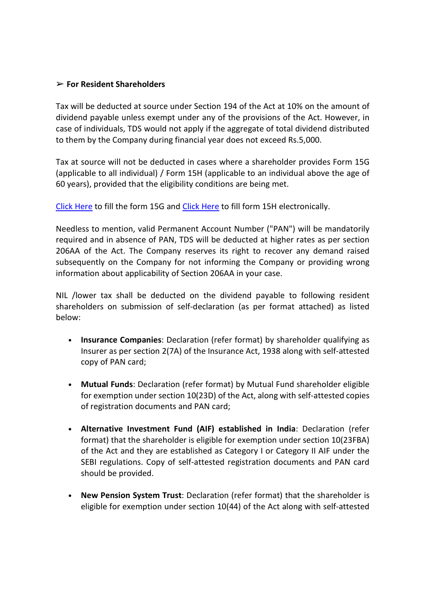## $\triangleright$  For Resident Shareholders

Tax will be deducted at source under Section 194 of the Act at 10% on the amount of dividend payable unless exempt under any of the provisions of the Act. However, in case of individuals, TDS would not apply if the aggregate of total dividend distributed to them by the Company during financial year does not exceed Rs.5,000.

Tax at source will not be deducted in cases where a shareholder provides Form 15G (applicable to all individual) / Form 15H (applicable to an individual above the age of 60 years), provided that the eligibility conditions are being met.

Click Here to fill the form 15G and Click Here to fill form 15H electronically.

Needless to mention, valid Permanent Account Number ("PAN") will be mandatorily required and in absence of PAN, TDS will be deducted at higher rates as per section 206AA of the Act. The Company reserves its right to recover any demand raised subsequently on the Company for not informing the Company or providing wrong information about applicability of Section 206AA in your case.

NIL /lower tax shall be deducted on the dividend payable to following resident shareholders on submission of self-declaration (as per format attached) as listed below:

- Insurance Companies: Declaration (refer format) by shareholder qualifying as Insurer as per section 2(7A) of the Insurance Act, 1938 along with self-attested copy of PAN card;
- Mutual Funds: Declaration (refer format) by Mutual Fund shareholder eligible for exemption under section 10(23D) of the Act, along with self-attested copies of registration documents and PAN card;
- Alternative Investment Fund (AIF) established in India: Declaration (refer format) that the shareholder is eligible for exemption under section 10(23FBA) of the Act and they are established as Category I or Category II AIF under the SEBI regulations. Copy of self-attested registration documents and PAN card should be provided.
- New Pension System Trust: Declaration (refer format) that the shareholder is eligible for exemption under section 10(44) of the Act along with self-attested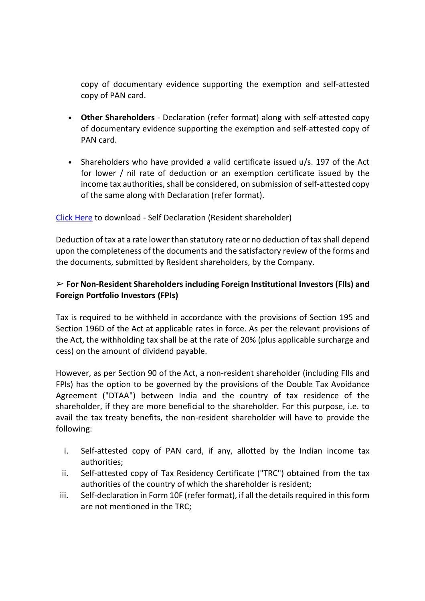copy of documentary evidence supporting the exemption and self-attested copy of PAN card.

- Other Shareholders Declaration (refer format) along with self-attested copy of documentary evidence supporting the exemption and self-attested copy of PAN card.
- Shareholders who have provided a valid certificate issued u/s. 197 of the Act for lower / nil rate of deduction or an exemption certificate issued by the income tax authorities, shall be considered, on submission of self-attested copy of the same along with Declaration (refer format).

# Click Here to download - Self Declaration (Resident shareholder)

Deduction of tax at a rate lower than statutory rate or no deduction of tax shall depend upon the completeness of the documents and the satisfactory review of the forms and the documents, submitted by Resident shareholders, by the Company.

# $\triangleright$  For Non-Resident Shareholders including Foreign Institutional Investors (FIIs) and Foreign Portfolio Investors (FPIs)

Tax is required to be withheld in accordance with the provisions of Section 195 and Section 196D of the Act at applicable rates in force. As per the relevant provisions of the Act, the withholding tax shall be at the rate of 20% (plus applicable surcharge and cess) on the amount of dividend payable.

However, as per Section 90 of the Act, a non-resident shareholder (including FIIs and FPIs) has the option to be governed by the provisions of the Double Tax Avoidance Agreement ("DTAA") between India and the country of tax residence of the shareholder, if they are more beneficial to the shareholder. For this purpose, i.e. to avail the tax treaty benefits, the non-resident shareholder will have to provide the following:

- i. Self-attested copy of PAN card, if any, allotted by the Indian income tax authorities;
- ii. Self-attested copy of Tax Residency Certificate ("TRC") obtained from the tax authorities of the country of which the shareholder is resident;
- iii. Self-declaration in Form 10F (refer format), if all the details required in this form are not mentioned in the TRC;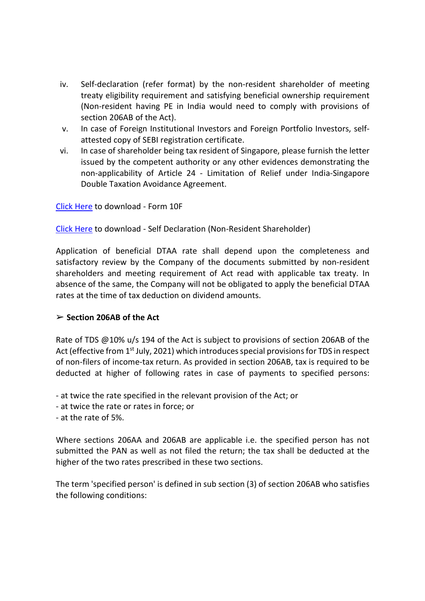- iv. Self-declaration (refer format) by the non-resident shareholder of meeting treaty eligibility requirement and satisfying beneficial ownership requirement (Non-resident having PE in India would need to comply with provisions of section 206AB of the Act).
- v. In case of Foreign Institutional Investors and Foreign Portfolio Investors, selfattested copy of SEBI registration certificate.
- vi. In case of shareholder being tax resident of Singapore, please furnish the letter issued by the competent authority or any other evidences demonstrating the non-applicability of Article 24 - Limitation of Relief under India-Singapore Double Taxation Avoidance Agreement.

Click Here to download - Form 10F

Click Here to download - Self Declaration (Non-Resident Shareholder)

Application of beneficial DTAA rate shall depend upon the completeness and satisfactory review by the Company of the documents submitted by non-resident shareholders and meeting requirement of Act read with applicable tax treaty. In absence of the same, the Company will not be obligated to apply the beneficial DTAA rates at the time of tax deduction on dividend amounts.

## $\geq$  Section 206AB of the Act

Rate of TDS @10% u/s 194 of the Act is subject to provisions of section 206AB of the Act (effective from 1<sup>st</sup> July, 2021) which introduces special provisions for TDS in respect of non-filers of income-tax return. As provided in section 206AB, tax is required to be deducted at higher of following rates in case of payments to specified persons:

- at twice the rate specified in the relevant provision of the Act; or

- at twice the rate or rates in force; or
- at the rate of 5%.

Where sections 206AA and 206AB are applicable i.e. the specified person has not submitted the PAN as well as not filed the return; the tax shall be deducted at the higher of the two rates prescribed in these two sections.

The term 'specified person' is defined in sub section (3) of section 206AB who satisfies the following conditions: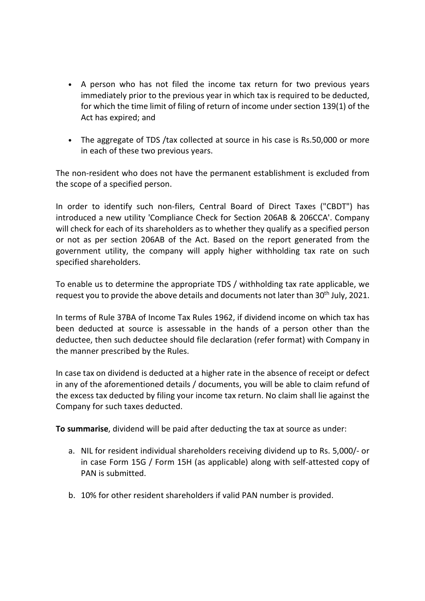- A person who has not filed the income tax return for two previous years immediately prior to the previous year in which tax is required to be deducted, for which the time limit of filing of return of income under section 139(1) of the Act has expired; and
- The aggregate of TDS /tax collected at source in his case is Rs.50,000 or more in each of these two previous years.

The non-resident who does not have the permanent establishment is excluded from the scope of a specified person.

In order to identify such non-filers, Central Board of Direct Taxes ("CBDT") has introduced a new utility 'Compliance Check for Section 206AB & 206CCA'. Company will check for each of its shareholders as to whether they qualify as a specified person or not as per section 206AB of the Act. Based on the report generated from the government utility, the company will apply higher withholding tax rate on such specified shareholders.

To enable us to determine the appropriate TDS / withholding tax rate applicable, we request you to provide the above details and documents not later than 30<sup>th</sup> July, 2021.

In terms of Rule 37BA of Income Tax Rules 1962, if dividend income on which tax has been deducted at source is assessable in the hands of a person other than the deductee, then such deductee should file declaration (refer format) with Company in the manner prescribed by the Rules.

In case tax on dividend is deducted at a higher rate in the absence of receipt or defect in any of the aforementioned details / documents, you will be able to claim refund of the excess tax deducted by filing your income tax return. No claim shall lie against the Company for such taxes deducted.

To summarise, dividend will be paid after deducting the tax at source as under:

- a. NIL for resident individual shareholders receiving dividend up to Rs. 5,000/- or in case Form 15G / Form 15H (as applicable) along with self-attested copy of PAN is submitted.
- b. 10% for other resident shareholders if valid PAN number is provided.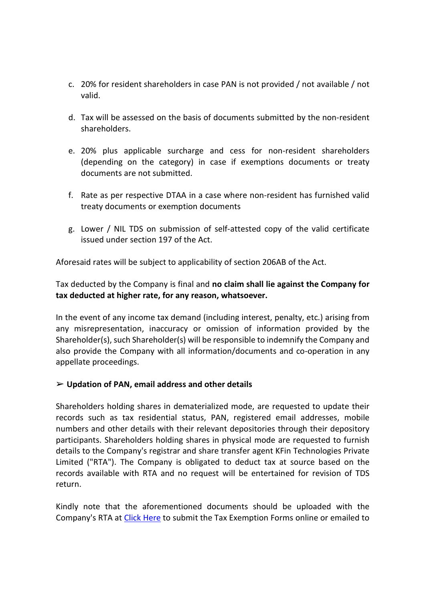- c. 20% for resident shareholders in case PAN is not provided / not available / not valid.
- d. Tax will be assessed on the basis of documents submitted by the non-resident shareholders.
- e. 20% plus applicable surcharge and cess for non-resident shareholders (depending on the category) in case if exemptions documents or treaty documents are not submitted.
- f. Rate as per respective DTAA in a case where non-resident has furnished valid treaty documents or exemption documents
- g. Lower / NIL TDS on submission of self-attested copy of the valid certificate issued under section 197 of the Act.

Aforesaid rates will be subject to applicability of section 206AB of the Act.

Tax deducted by the Company is final and no claim shall lie against the Company for tax deducted at higher rate, for any reason, whatsoever.

In the event of any income tax demand (including interest, penalty, etc.) arising from any misrepresentation, inaccuracy or omission of information provided by the Shareholder(s), such Shareholder(s) will be responsible to indemnify the Company and also provide the Company with all information/documents and co-operation in any appellate proceedings.

# $\triangleright$  Updation of PAN, email address and other details

Shareholders holding shares in dematerialized mode, are requested to update their records such as tax residential status, PAN, registered email addresses, mobile numbers and other details with their relevant depositories through their depository participants. Shareholders holding shares in physical mode are requested to furnish details to the Company's registrar and share transfer agent KFin Technologies Private Limited ("RTA"). The Company is obligated to deduct tax at source based on the records available with RTA and no request will be entertained for revision of TDS return.

Kindly note that the aforementioned documents should be uploaded with the Company's RTA at Click Here to submit the Tax Exemption Forms online or emailed to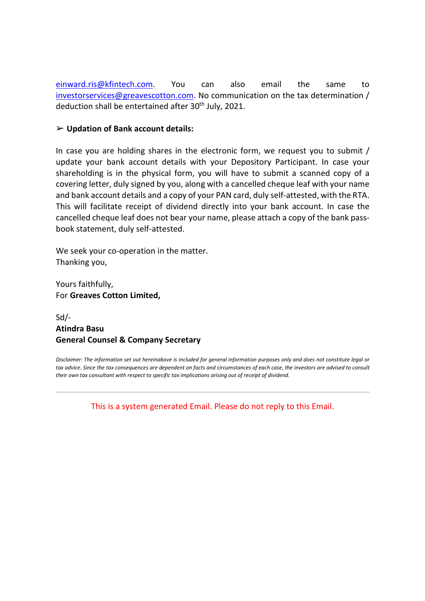einward.ris@kfintech.com. You can also email the same to investorservices@greavescotton.com. No communication on the tax determination / deduction shall be entertained after 30<sup>th</sup> July, 2021.

## $\triangleright$  Updation of Bank account details:

In case you are holding shares in the electronic form, we request you to submit / update your bank account details with your Depository Participant. In case your shareholding is in the physical form, you will have to submit a scanned copy of a covering letter, duly signed by you, along with a cancelled cheque leaf with your name and bank account details and a copy of your PAN card, duly self-attested, with the RTA. This will facilitate receipt of dividend directly into your bank account. In case the cancelled cheque leaf does not bear your name, please attach a copy of the bank passbook statement, duly self-attested.

We seek your co-operation in the matter. Thanking you,

Yours faithfully, For Greaves Cotton Limited,

Sd/- Atindra Basu General Counsel & Company Secretary

Disclaimer: The information set out hereinabove is included for general information purposes only and does not constitute legal or tax advice. Since the tax consequences are dependent on facts and circumstances of each case, the investors are advised to consult their own tax consultant with respect to specific tax implications arising out of receipt of dividend.

This is a system generated Email. Please do not reply to this Email.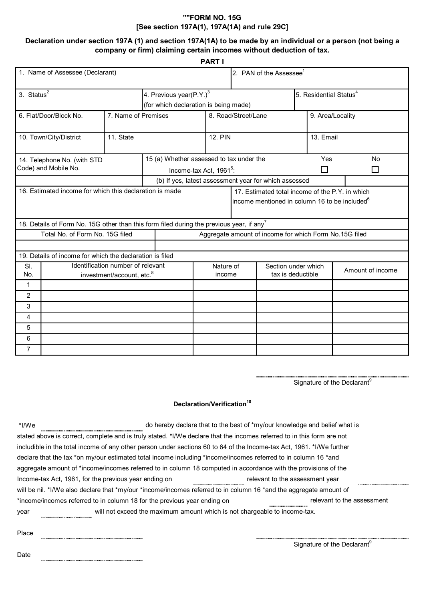## ""FORM NO. 15G [See section 197A(1), 197A(1A) and rule 29C]

#### Declaration under section 197A (1) and section 197A(1A) to be made by an individual or a person (not being a company or firm) claiming certain incomes without deduction of tax.

PART I

| 1. Name of Assessee (Declarant)                                                                                                                                         |                                                                                                      |                                   |                                                                     |                                            | 2. PAN of the Assessee <sup>1</sup> |                                                        |                  |              |
|-------------------------------------------------------------------------------------------------------------------------------------------------------------------------|------------------------------------------------------------------------------------------------------|-----------------------------------|---------------------------------------------------------------------|--------------------------------------------|-------------------------------------|--------------------------------------------------------|------------------|--------------|
| 3. Status $2$                                                                                                                                                           |                                                                                                      |                                   | 4. Previous year(P.Y.) $3$<br>(for which declaration is being made) |                                            |                                     | 5. Residential Status <sup>4</sup>                     |                  |              |
| 6. Flat/Door/Block No.<br>7. Name of Premises                                                                                                                           |                                                                                                      |                                   | 8. Road/Street/Lane                                                 |                                            |                                     | 9. Area/Locality                                       |                  |              |
|                                                                                                                                                                         | 10. Town/City/District<br>11. State                                                                  |                                   |                                                                     | <b>12. PIN</b>                             |                                     |                                                        | 13. Email        |              |
|                                                                                                                                                                         | 14. Telephone No. (with STD                                                                          |                                   | 15 (a) Whether assessed to tax under the                            |                                            |                                     |                                                        | Yes              | <b>No</b>    |
|                                                                                                                                                                         | Code) and Mobile No.                                                                                 |                                   |                                                                     | Income-tax Act, 1961 <sup>5</sup> :        |                                     |                                                        |                  | $\mathbf{I}$ |
|                                                                                                                                                                         |                                                                                                      |                                   |                                                                     |                                            |                                     | (b) If yes, latest assessment year for which assessed  |                  |              |
| 16. Estimated income for which this declaration is made<br>17. Estimated total income of the P.Y. in which<br>income mentioned in column 16 to be included <sup>6</sup> |                                                                                                      |                                   |                                                                     |                                            |                                     |                                                        |                  |              |
|                                                                                                                                                                         | 18. Details of Form No. 15G other than this form filed during the previous year, if any <sup>7</sup> |                                   |                                                                     |                                            |                                     |                                                        |                  |              |
|                                                                                                                                                                         | Total No. of Form No. 15G filed                                                                      |                                   |                                                                     |                                            |                                     | Aggregate amount of income for which Form No.15G filed |                  |              |
|                                                                                                                                                                         |                                                                                                      |                                   |                                                                     |                                            |                                     |                                                        |                  |              |
|                                                                                                                                                                         | 19. Details of income for which the declaration is filed                                             |                                   |                                                                     |                                            |                                     |                                                        |                  |              |
| SI.<br>No.                                                                                                                                                              |                                                                                                      | Identification number of relevant |                                                                     | Nature of<br>Section under which<br>income |                                     | tax is deductible                                      | Amount of income |              |
| $\mathbf{1}$                                                                                                                                                            | investment/account, etc. <sup>8</sup>                                                                |                                   |                                                                     |                                            |                                     |                                                        |                  |              |
| 2                                                                                                                                                                       |                                                                                                      |                                   |                                                                     |                                            |                                     |                                                        |                  |              |
| 3                                                                                                                                                                       |                                                                                                      |                                   |                                                                     |                                            |                                     |                                                        |                  |              |
| 4                                                                                                                                                                       |                                                                                                      |                                   |                                                                     |                                            |                                     |                                                        |                  |              |
| 5                                                                                                                                                                       |                                                                                                      |                                   |                                                                     |                                            |                                     |                                                        |                  |              |
| 6                                                                                                                                                                       |                                                                                                      |                                   |                                                                     |                                            |                                     |                                                        |                  |              |
| $\overline{7}$                                                                                                                                                          |                                                                                                      |                                   |                                                                     |                                            |                                     |                                                        |                  |              |

Signature of the Declarant<sup>9</sup>

#### Declaration/Verification<sup>10</sup>

| *I/We                                                                                                  | do hereby declare that to the best of *my/our knowledge and belief what is                                             |  |  |  |  |  |
|--------------------------------------------------------------------------------------------------------|------------------------------------------------------------------------------------------------------------------------|--|--|--|--|--|
|                                                                                                        | stated above is correct, complete and is truly stated. *I/We declare that the incomes referred to in this form are not |  |  |  |  |  |
|                                                                                                        | includible in the total income of any other person under sections 60 to 64 of the Income-tax Act, 1961. *I/We further  |  |  |  |  |  |
|                                                                                                        | declare that the tax *on my/our estimated total income including *income/incomes referred to in column 16 *and         |  |  |  |  |  |
|                                                                                                        | aggregate amount of *income/incomes referred to in column 18 computed in accordance with the provisions of the         |  |  |  |  |  |
| Income-tax Act, 1961, for the previous year ending on<br>relevant to the assessment year               |                                                                                                                        |  |  |  |  |  |
|                                                                                                        | will be nil. *I/We also declare that *my/our *income/incomes referred to in column 16 *and the aggregate amount of     |  |  |  |  |  |
| relevant to the assessment<br>*income/incomes referred to in column 18 for the previous year ending on |                                                                                                                        |  |  |  |  |  |
| year                                                                                                   | will not exceed the maximum amount which is not chargeable to income-tax.                                              |  |  |  |  |  |
| Place                                                                                                  |                                                                                                                        |  |  |  |  |  |

Date

Signature of the Declarant<sup>9</sup>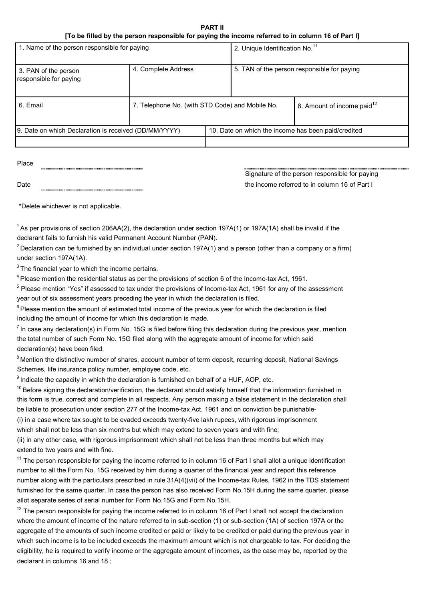#### PART II [To be filled by the person responsible for paying the income referred to in column 16 of Part I]

| 1. Name of the person responsible for paying          |                                                 |  | 2. Unique Identification No. <sup>11</sup>          |                                        |  |
|-------------------------------------------------------|-------------------------------------------------|--|-----------------------------------------------------|----------------------------------------|--|
| 3. PAN of the person<br>responsible for paying        | 4. Complete Address                             |  | 5. TAN of the person responsible for paying         |                                        |  |
| 6. Email                                              | 7. Telephone No. (with STD Code) and Mobile No. |  |                                                     | 8. Amount of income paid <sup>12</sup> |  |
| 9. Date on which Declaration is received (DD/MM/YYYY) |                                                 |  | 10. Date on which the income has been paid/credited |                                        |  |
|                                                       |                                                 |  |                                                     |                                        |  |

Place 

Date

Signature of the person responsible for paying the income referred to in column 16 of Part I

\*Delete whichever is not applicable.

<sup>1</sup> As per provisions of section 206AA(2), the declaration under section 197A(1) or 197A(1A) shall be invalid if the declarant fails to furnish his valid Permanent Account Number (PAN).

 $2$  Declaration can be furnished by an individual under section 197A(1) and a person (other than a company or a firm) under section 197A(1A).

 $3$  The financial vear to which the income pertains.

<sup>4</sup> Please mention the residential status as per the provisions of section 6 of the Income-tax Act, 1961.

<sup>5</sup> Please mention "Yes" if assessed to tax under the provisions of Income-tax Act, 1961 for any of the assessment year out of six assessment years preceding the year in which the declaration is filed.

 $6$  Please mention the amount of estimated total income of the previous year for which the declaration is filed including the amount of income for which this declaration is made.

 $^7$  In case any declaration(s) in Form No. 15G is filed before filing this declaration during the previous year, mention the total number of such Form No. 15G filed along with the aggregate amount of income for which said declaration(s) have been filed.

<sup>8</sup> Mention the distinctive number of shares, account number of term deposit, recurring deposit, National Savings Schemes, life insurance policy number, employee code, etc.

 $^9$ Indicate the capacity in which the declaration is furnished on behalf of a HUF, AOP, etc.

 $10$  Before signing the declaration/verification, the declarant should satisfy himself that the information furnished in this form is true, correct and complete in all respects. Any person making a false statement in the declaration shall be liable to prosecution under section 277 of the Income-tax Act, 1961 and on conviction be punishable-

(i) in a case where tax sought to be evaded exceeds twenty-five lakh rupees, with rigorous imprisonment which shall not be less than six months but which may extend to seven years and with fine;

(ii) in any other case, with rigorous imprisonment which shall not be less than three months but which may extend to two years and with fine.

 $11$  The person responsible for paying the income referred to in column 16 of Part I shall allot a unique identification number to all the Form No. 15G received by him during a quarter of the financial year and report this reference number along with the particulars prescribed in rule 31A(4)(vii) of the Income-tax Rules, 1962 in the TDS statement furnished for the same quarter. In case the person has also received Form No.15H during the same quarter, please allot separate series of serial number for Form No.15G and Form No.15H.

 $12$  The person responsible for paying the income referred to in column 16 of Part I shall not accept the declaration where the amount of income of the nature referred to in sub-section (1) or sub-section (1A) of section 197A or the aggregate of the amounts of such income credited or paid or likely to be credited or paid during the previous year in which such income is to be included exceeds the maximum amount which is not chargeable to tax. For deciding the eligibility, he is required to verify income or the aggregate amount of incomes, as the case may be, reported by the declarant in columns 16 and 18.;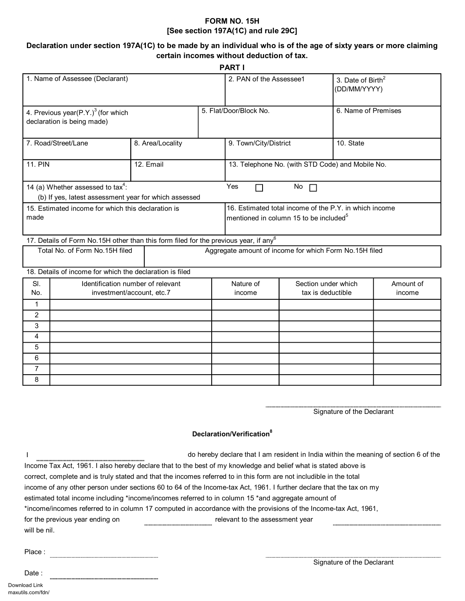### FORM NO. 15H [See section 197A(1C) and rule 29C]

#### Declaration under section 197A(1C) to be made by an individual who is of the age of sixty years or more claiming certain incomes without deduction of tax.

| <b>PART I</b>                                              |                                                                                                  |                                                                |                                                        |                                                                                                              |                                          |                                               |                     |  |
|------------------------------------------------------------|--------------------------------------------------------------------------------------------------|----------------------------------------------------------------|--------------------------------------------------------|--------------------------------------------------------------------------------------------------------------|------------------------------------------|-----------------------------------------------|---------------------|--|
| 1. Name of Assessee (Declarant)                            |                                                                                                  |                                                                |                                                        | 2. PAN of the Assessee1                                                                                      |                                          | 3. Date of Birth <sup>2</sup><br>(DD/MM/YYYY) |                     |  |
|                                                            | 4. Previous year(P.Y.) <sup>3</sup> (for which                                                   |                                                                |                                                        | 5. Flat/Door/Block No.                                                                                       |                                          | 6. Name of Premises                           |                     |  |
| declaration is being made)                                 |                                                                                                  |                                                                |                                                        |                                                                                                              |                                          |                                               |                     |  |
|                                                            | 7. Road/Street/Lane                                                                              | 8. Area/Locality                                               |                                                        | 9. Town/City/District                                                                                        |                                          | 10. State                                     |                     |  |
| <b>11. PIN</b>                                             |                                                                                                  | 12. Email                                                      |                                                        | 13. Telephone No. (with STD Code) and Mobile No.                                                             |                                          |                                               |                     |  |
|                                                            | 14 (a) Whether assessed to tax <sup>4</sup> :                                                    |                                                                |                                                        | Yes                                                                                                          | $No$ $\Box$                              |                                               |                     |  |
|                                                            | (b) If yes, latest assessment year for which assessed                                            |                                                                |                                                        |                                                                                                              |                                          |                                               |                     |  |
| 15. Estimated income for which this declaration is<br>made |                                                                                                  |                                                                |                                                        | 16. Estimated total income of the P.Y. in which income<br>mentioned in column 15 to be included <sup>5</sup> |                                          |                                               |                     |  |
|                                                            | 17. Details of Form No.15H other than this form filed for the previous year, if any <sup>6</sup> |                                                                |                                                        |                                                                                                              |                                          |                                               |                     |  |
| Total No. of Form No. 15H filed                            |                                                                                                  |                                                                | Aggregate amount of income for which Form No.15H filed |                                                                                                              |                                          |                                               |                     |  |
|                                                            | 18. Details of income for which the declaration is filed                                         |                                                                |                                                        |                                                                                                              |                                          |                                               |                     |  |
| SI.<br>No.                                                 |                                                                                                  | Identification number of relevant<br>investment/account, etc.7 |                                                        | Nature of<br>income                                                                                          | Section under which<br>tax is deductible |                                               | Amount of<br>income |  |
| $\mathbf 1$                                                |                                                                                                  |                                                                |                                                        |                                                                                                              |                                          |                                               |                     |  |
| 2                                                          |                                                                                                  |                                                                |                                                        |                                                                                                              |                                          |                                               |                     |  |
| 3                                                          |                                                                                                  |                                                                |                                                        |                                                                                                              |                                          |                                               |                     |  |
| 4                                                          |                                                                                                  |                                                                |                                                        |                                                                                                              |                                          |                                               |                     |  |
| 5                                                          |                                                                                                  |                                                                |                                                        |                                                                                                              |                                          |                                               |                     |  |
| 6<br>$\overline{7}$                                        |                                                                                                  |                                                                |                                                        |                                                                                                              |                                          |                                               |                     |  |
| 8                                                          |                                                                                                  |                                                                |                                                        |                                                                                                              |                                          |                                               |                     |  |
|                                                            |                                                                                                  |                                                                |                                                        |                                                                                                              |                                          |                                               |                     |  |

Signature of the Declarant

#### Declaration/Verification<sup>8</sup>

| do hereby declare that I am resident in India within the meaning of section 6 of the<br>Income Tax Act, 1961. I also hereby declare that to the best of my knowledge and belief what is stated above is<br>correct, complete and is truly stated and that the incomes referred to in this form are not includible in the total<br>income of any other person under sections 60 to 64 of the Income-tax Act, 1961. I further declare that the tax on my<br>estimated total income including *income/incomes referred to in column 15 *and aggregate amount of<br>*income/incomes referred to in column 17 computed in accordance with the provisions of the Income-tax Act, 1961, |  |
|----------------------------------------------------------------------------------------------------------------------------------------------------------------------------------------------------------------------------------------------------------------------------------------------------------------------------------------------------------------------------------------------------------------------------------------------------------------------------------------------------------------------------------------------------------------------------------------------------------------------------------------------------------------------------------|--|
| for the previous year ending on<br>relevant to the assessment year<br>will be nil.                                                                                                                                                                                                                                                                                                                                                                                                                                                                                                                                                                                               |  |

| <br> |
|------|

Signature of the Declarant

Date :

Download Link maxutils.com/fdn/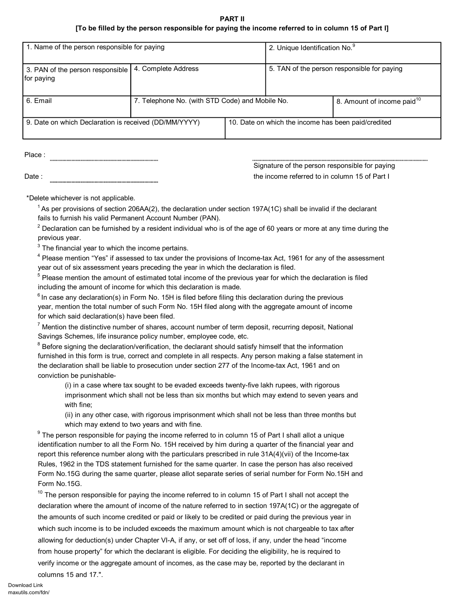#### PART II [To be filled by the person responsible for paying the income referred to in column 15 of Part I]

| 1. Name of the person responsible for paying          |                                                 |                                                     | 2. Unique Identification No. <sup>9</sup>   |                                        |
|-------------------------------------------------------|-------------------------------------------------|-----------------------------------------------------|---------------------------------------------|----------------------------------------|
| 3. PAN of the person responsible<br>for paying        | 4. Complete Address                             |                                                     | 5. TAN of the person responsible for paying |                                        |
| 6. Email                                              | 7. Telephone No. (with STD Code) and Mobile No. |                                                     |                                             | 8. Amount of income paid <sup>10</sup> |
| 9. Date on which Declaration is received (DD/MM/YYYY) |                                                 | 10. Date on which the income has been paid/credited |                                             |                                        |

Place : 

Signature of the person responsible for paying

Date : the income referred to in column 15 of Part I

#### \*Delete whichever is not applicable.

 $1$ As per provisions of section 206AA(2), the declaration under section 197A(1C) shall be invalid if the declarant fails to furnish his valid Permanent Account Number (PAN).

 $2$  Declaration can be furnished by a resident individual who is of the age of 60 years or more at any time during the previous year.

 $3$  The financial year to which the income pertains.

<sup>4</sup> Please mention "Yes" if assessed to tax under the provisions of Income-tax Act, 1961 for any of the assessment year out of six assessment years preceding the year in which the declaration is filed.

<sup>5</sup> Please mention the amount of estimated total income of the previous year for which the declaration is filed including the amount of income for which this declaration is made.

 $^6$  In case any declaration(s) in Form No. 15H is filed before filing this declaration during the previous year, mention the total number of such Form No. 15H filed along with the aggregate amount of income for which said declaration(s) have been filed.

 $7$  Mention the distinctive number of shares, account number of term deposit, recurring deposit, National Savings Schemes, life insurance policy number, employee code, etc.

 $8$  Before signing the declaration/verification, the declarant should satisfy himself that the information furnished in this form is true, correct and complete in all respects. Any person making a false statement in the declaration shall be liable to prosecution under section 277 of the Income-tax Act, 1961 and on conviction be punishable-

(i) in a case where tax sought to be evaded exceeds twenty-five lakh rupees, with rigorous imprisonment which shall not be less than six months but which may extend to seven years and with fine;

(ii) in any other case, with rigorous imprisonment which shall not be less than three months but which may extend to two years and with fine.

 $9$  The person responsible for paying the income referred to in column 15 of Part I shall allot a unique identification number to all the Form No. 15H received by him during a quarter of the financial year and report this reference number along with the particulars prescribed in rule 31A(4)(vii) of the Income-tax Rules, 1962 in the TDS statement furnished for the same quarter. In case the person has also received Form No.15G during the same quarter, please allot separate series of serial number for Form No.15H and Form No.15G.

 $10$  The person responsible for paying the income referred to in column 15 of Part I shall not accept the declaration where the amount of income of the nature referred to in section 197A(1C) or the aggregate of the amounts of such income credited or paid or likely to be credited or paid during the previous year in which such income is to be included exceeds the maximum amount which is not chargeable to tax after allowing for deduction(s) under Chapter VI-A, if any, or set off of loss, if any, under the head "income from house property" for which the declarant is eligible. For deciding the eligibility, he is required to verify income or the aggregate amount of incomes, as the case may be, reported by the declarant in columns 15 and 17.".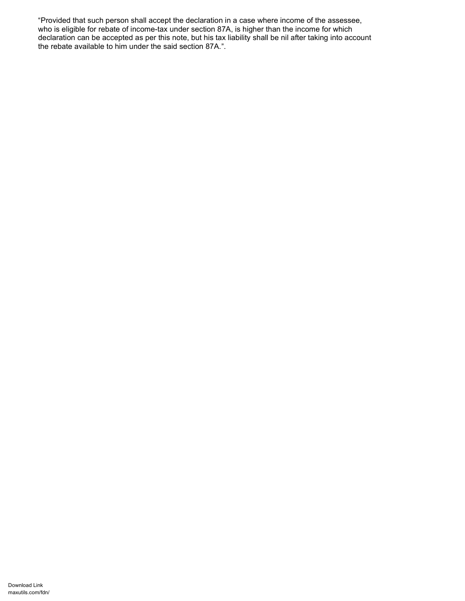Provided that such person shall accept the declaration in a case where income of the assessee, who is eligible for rebate of income-tax under section 87A, is higher than the income for which declaration can be accepted as per this note, but his tax liability shall be nil after taking into account the rebate available to him under the said section 87A.".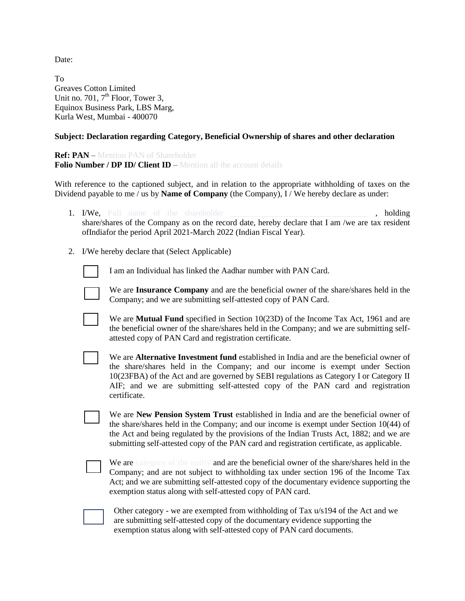Date:

To Greaves Cotton Limited Unit no. 701,  $7<sup>th</sup>$  Floor, Tower 3, Equinox Business Park, LBS Marg, Kurla West, Mumbai - 400070

#### **Subject: Declaration regarding Category, Beneficial Ownership of shares and other declaration**

**Ref: PAN** – Mention PAN of Shareholder **Folio Number / DP ID/ Client ID** – Mention all the account details

With reference to the captioned subject, and in relation to the appropriate withholding of taxes on the Dividend payable to me / us by **Name of Company** (the Company), I / We hereby declare as under:

- 1. I/We, Full name of the shareholder **the shareholder** , holding share/shares of the Company as on the record date, hereby declare that I am /we are tax resident ofIndiafor the period April 2021-March 2022 (Indian Fiscal Year).
- 2. I/We hereby declare that (Select Applicable)

I am an Individual has linked the Aadhar number with PAN Card.

We are **Insurance Company** and are the beneficial owner of the share/shares held in the Company; and we are submitting self-attested copy of PAN Card.

We are **Mutual Fund** specified in Section 10(23D) of the Income Tax Act, 1961 and are the beneficial owner of the share/shares held in the Company; and we are submitting selfattested copy of PAN Card and registration certificate.

We are **Alternative Investment fund** established in India and are the beneficial owner of the share/shares held in the Company; and our income is exempt under Section 10(23FBA) of the Act and are governed by SEBI regulations as Category I or Category II AIF; and we are submitting self-attested copy of the PAN card and registration certificate.

We are **New Pension System Trust** established in India and are the beneficial owner of the share/shares held in the Company; and our income is exempt under Section 10(44) of the Act and being regulated by the provisions of the Indian Trusts Act, 1882; and we are submitting self-attested copy of the PAN card and registration certificate, as applicable.

We are **category of the entity** and are the beneficial owner of the share/shares held in the Company; and are not subject to withholding tax under section 196 of the Income Tax Act; and we are submitting self-attested copy of the documentary evidence supporting the exemption status along with self-attested copy of PAN card.

Other category - we are exempted from withholding of Tax u/s194 of the Act and we are submitting self-attested copy of the documentary evidence supporting the exemption status along with self-attested copy of PAN card documents.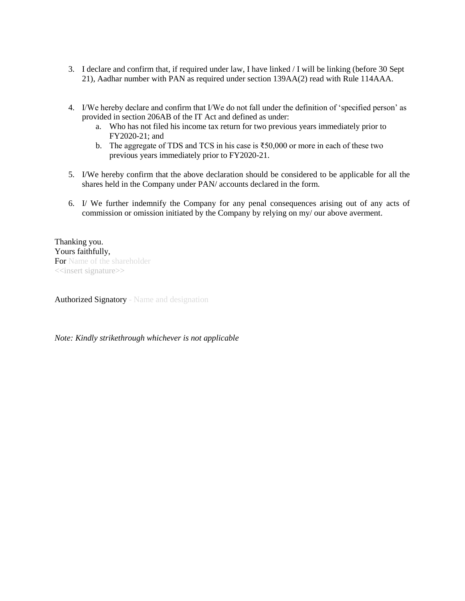- 3. I declare and confirm that, if required under law, I have linked / I will be linking (before 30 Sept 21), Aadhar number with PAN as required under section 139AA(2) read with Rule 114AAA.
- 4. I/We hereby declare and confirm that I/We do not fall under the definition of 'specified person' as provided in section 206AB of the IT Act and defined as under:
	- a. Who has not filed his income tax return for two previous years immediately prior to FY2020-21; and
	- b. The aggregate of TDS and TCS in his case is ₹50,000 or more in each of these two previous years immediately prior to FY2020-21.
- 5. I/We hereby confirm that the above declaration should be considered to be applicable for all the shares held in the Company under PAN/ accounts declared in the form.
- 6. I/ We further indemnify the Company for any penal consequences arising out of any acts of commission or omission initiated by the Company by relying on my/ our above averment.

Thanking you. Yours faithfully, For Name of the shareholder <<insert signature>>

Authorized Signatory - Name and designation

*Note: Kindly strikethrough whichever is not applicable*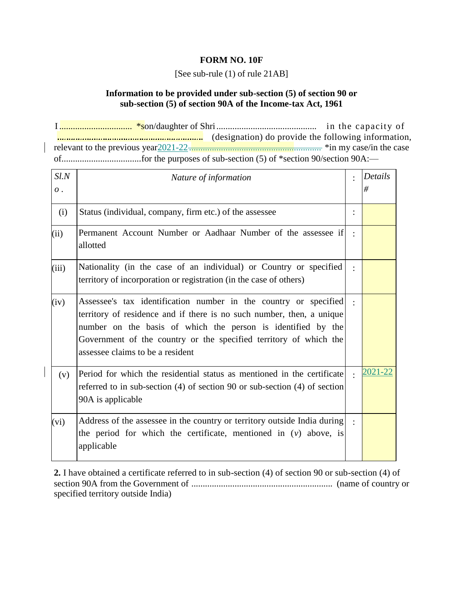#### **FORM NO. 10F**

[See sub-rule (1) of rule 21AB]

## **Information to be provided under sub-section (5) of section 90 or sub-section (5) of section 90A of the Income-tax Act, 1961**

I................................ \*son/daughter of Shri............................................ in the capacity of **EXECUTE:** (designation) do provide the following information, relevant to the previous year2021-22 .......................................................... \*in my case/in the case of...................................for the purposes of sub-section (5) of \*section 90/section 90A:—

| Sl.N<br>$\boldsymbol{o}$ . | Nature of information                                                                                                                                                                                                                                                                                              |           | Details<br># |
|----------------------------|--------------------------------------------------------------------------------------------------------------------------------------------------------------------------------------------------------------------------------------------------------------------------------------------------------------------|-----------|--------------|
|                            |                                                                                                                                                                                                                                                                                                                    |           |              |
| (i)                        | Status (individual, company, firm etc.) of the assessee                                                                                                                                                                                                                                                            |           |              |
| (ii)                       | Permanent Account Number or Aadhaar Number of the assessee if<br>allotted                                                                                                                                                                                                                                          | $\bullet$ |              |
| (iii)                      | Nationality (in the case of an individual) or Country or specified<br>territory of incorporation or registration (in the case of others)                                                                                                                                                                           |           |              |
| (iv)                       | Assessee's tax identification number in the country or specified<br>territory of residence and if there is no such number, then, a unique<br>number on the basis of which the person is identified by the<br>Government of the country or the specified territory of which the<br>assessee claims to be a resident |           |              |
| (v)                        | Period for which the residential status as mentioned in the certificate<br>referred to in sub-section $(4)$ of section 90 or sub-section $(4)$ of section<br>90A is applicable                                                                                                                                     |           | 2021-22      |
| (vi)                       | Address of the assessee in the country or territory outside India during<br>the period for which the certificate, mentioned in $(v)$ above, is<br>applicable                                                                                                                                                       |           |              |

**2.** I have obtained a certificate referred to in sub-section (4) of section 90 or sub-section (4) of section 90A from the Government of .............................................................. (name of country or specified territory outside India)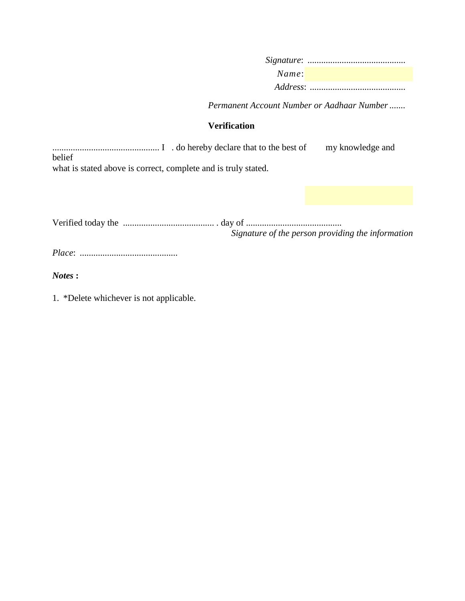*Signature*: ........................................... *Name*: *Address*: ..........................................

*Permanent Account Number or Aadhaar Number.......*

### **Verification**

|                                                                | my knowledge and |
|----------------------------------------------------------------|------------------|
| belief                                                         |                  |
| what is stated above is correct, complete and is truly stated. |                  |

Verified today the ........................................ . day of .......................................... *Signature of the person providing the information*

*Place*: ...........................................

*Notes* **:**

1. \*Delete whichever is not applicable.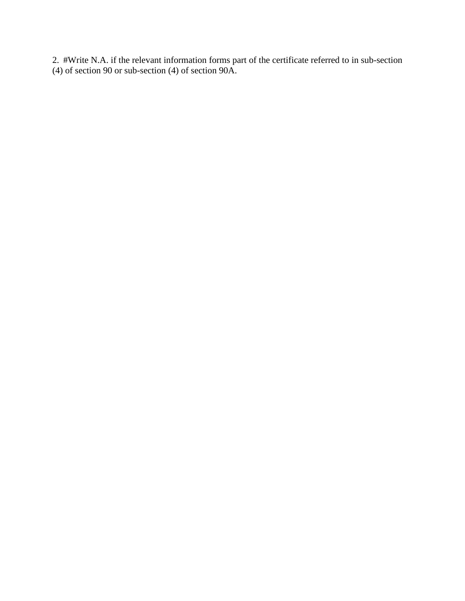2. #Write N.A. if the relevant information forms part of the certificate referred to in sub-section (4) of section 90 or sub-section (4) of section 90A.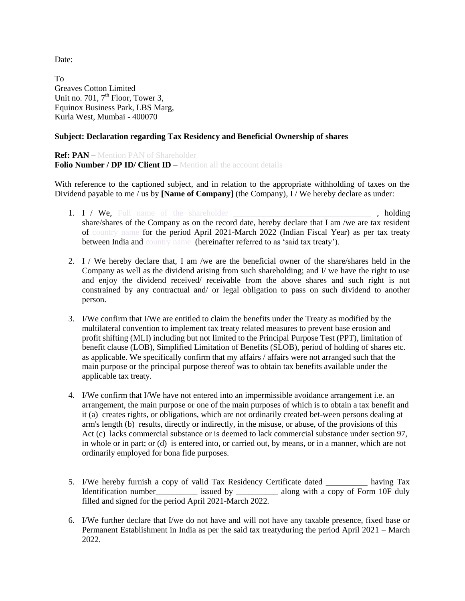Date:

To Greaves Cotton Limited Unit no. 701,  $7<sup>th</sup>$  Floor, Tower 3, Equinox Business Park, LBS Marg, Kurla West, Mumbai - 400070

#### **Subject: Declaration regarding Tax Residency and Beneficial Ownership of shares**

**Ref: PAN** – Mention PAN of Shareholder **Folio Number / DP ID/ Client ID** – Mention all the account details

With reference to the captioned subject, and in relation to the appropriate withholding of taxes on the Dividend payable to me / us by **[Name of Company]** (the Company), **I** / We hereby declare as under:

- 1. I / We, Full name of the shareholder **the state of the state of the state**, holding share/shares of the Company as on the record date, hereby declare that I am /we are tax resident of country name for the period April 2021-March 2022 (Indian Fiscal Year) as per tax treaty between India and country name (hereinafter referred to as 'said tax treaty').
- 2. I / We hereby declare that, I am /we are the beneficial owner of the share/shares held in the Company as well as the dividend arising from such shareholding; and I/ we have the right to use and enjoy the dividend received/ receivable from the above shares and such right is not constrained by any contractual and/ or legal obligation to pass on such dividend to another person.
- 3. I/We confirm that I/We are entitled to claim the benefits under the Treaty as modified by the multilateral convention to implement tax treaty related measures to prevent base erosion and profit shifting (MLI) including but not limited to the Principal Purpose Test (PPT), limitation of benefit clause (LOB), Simplified Limitation of Benefits (SLOB), period of holding of shares etc. as applicable. We specifically confirm that my affairs / affairs were not arranged such that the main purpose or the principal purpose thereof was to obtain tax benefits available under the applicable tax treaty.
- 4. I/We confirm that I/We have not entered into an impermissible avoidance arrangement i.e. an arrangement, the main purpose or one of the main purposes of which is to obtain a tax benefit and it (a) creates rights, or obligations, which are not ordinarily created bet-ween persons dealing at arm's length (b) results, directly or indirectly, in the misuse, or abuse, of the provisions of this Act (c) lacks commercial substance or is deemed to lack commercial substance under section 97, in whole or in part; or (d) is entered into, or carried out, by means, or in a manner, which are not ordinarily employed for bona fide purposes.
- 5. I/We hereby furnish a copy of valid Tax Residency Certificate dated \_\_\_\_\_\_\_\_\_\_ having Tax Identification number\_\_\_\_\_\_\_\_\_\_\_\_\_ issued by \_\_\_\_\_\_\_\_\_\_\_\_ along with a copy of Form 10F duly filled and signed for the period April 2021-March 2022.
- 6. I/We further declare that I/we do not have and will not have any taxable presence, fixed base or Permanent Establishment in India as per the said tax treatyduring the period April 2021 – March 2022.